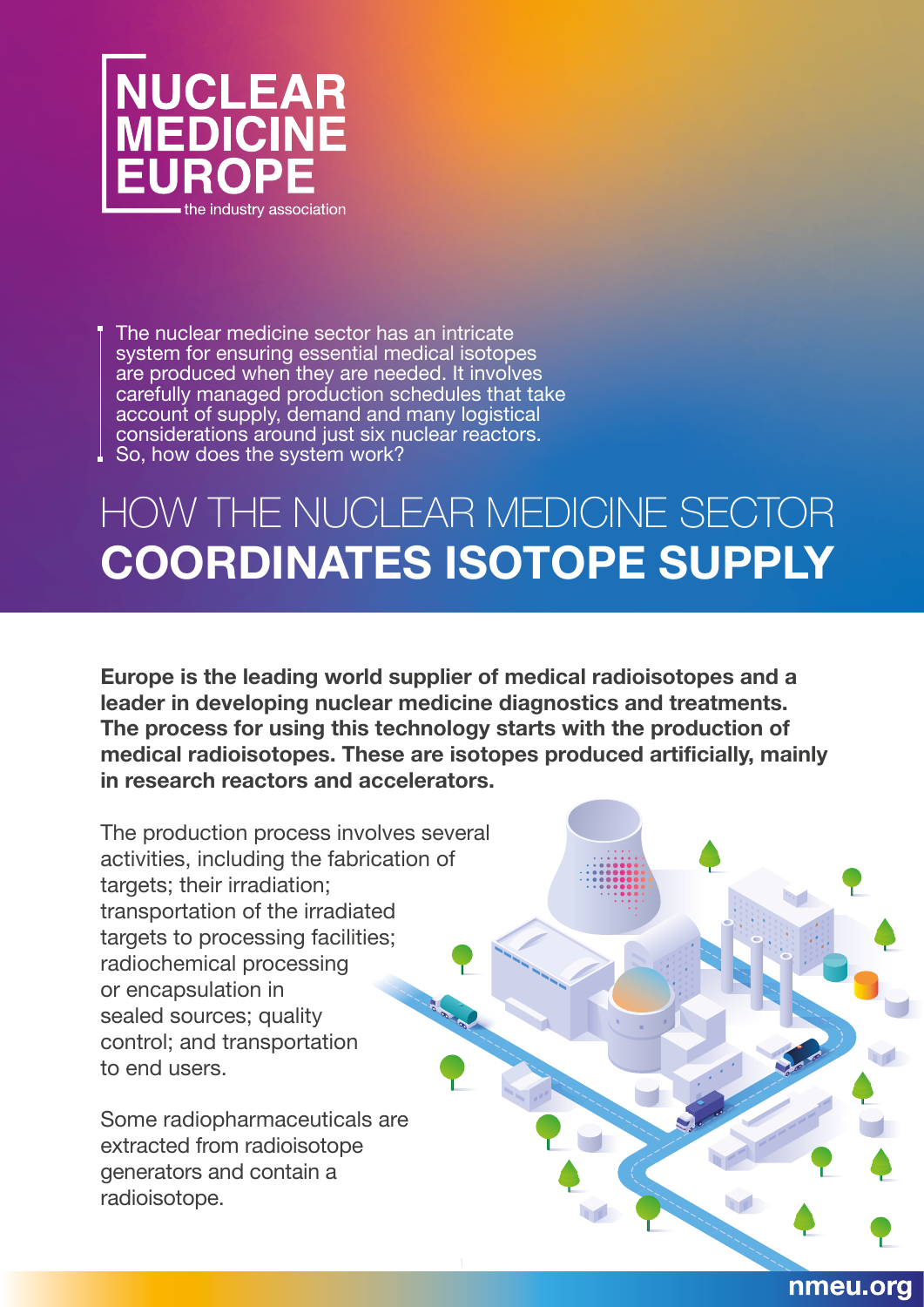

The nuclear medicine sector has an intricate system for ensuring essential medical isotopes are produced when they are needed. It involves carefully managed production schedules that take account of supply, demand and many logistical considerations around just six nuclear reactors.  $\perp$  So, how does the system work?

## HOW THE NUCLEAR MEDICINE SECTOR **COORDINATES ISOTOPE SUPPLY**

**Europe is the leading world supplier of medical radioisotopes and a leader in developing nuclear medicine diagnostics and treatments. The process for using this technology starts with the production of medical radioisotopes. These are isotopes produced artificially, mainly in research reactors and accelerators.** 

nmeu.org

The production process involves several activities, including the fabrication of targets; their irradiation; transportation of the irradiated targets to processing facilities; radiochemical processing or encapsulation in sealed sources; quality control; and transportation to end users.

Some radiopharmaceuticals are extracted from radioisotope generators and contain a radioisotope.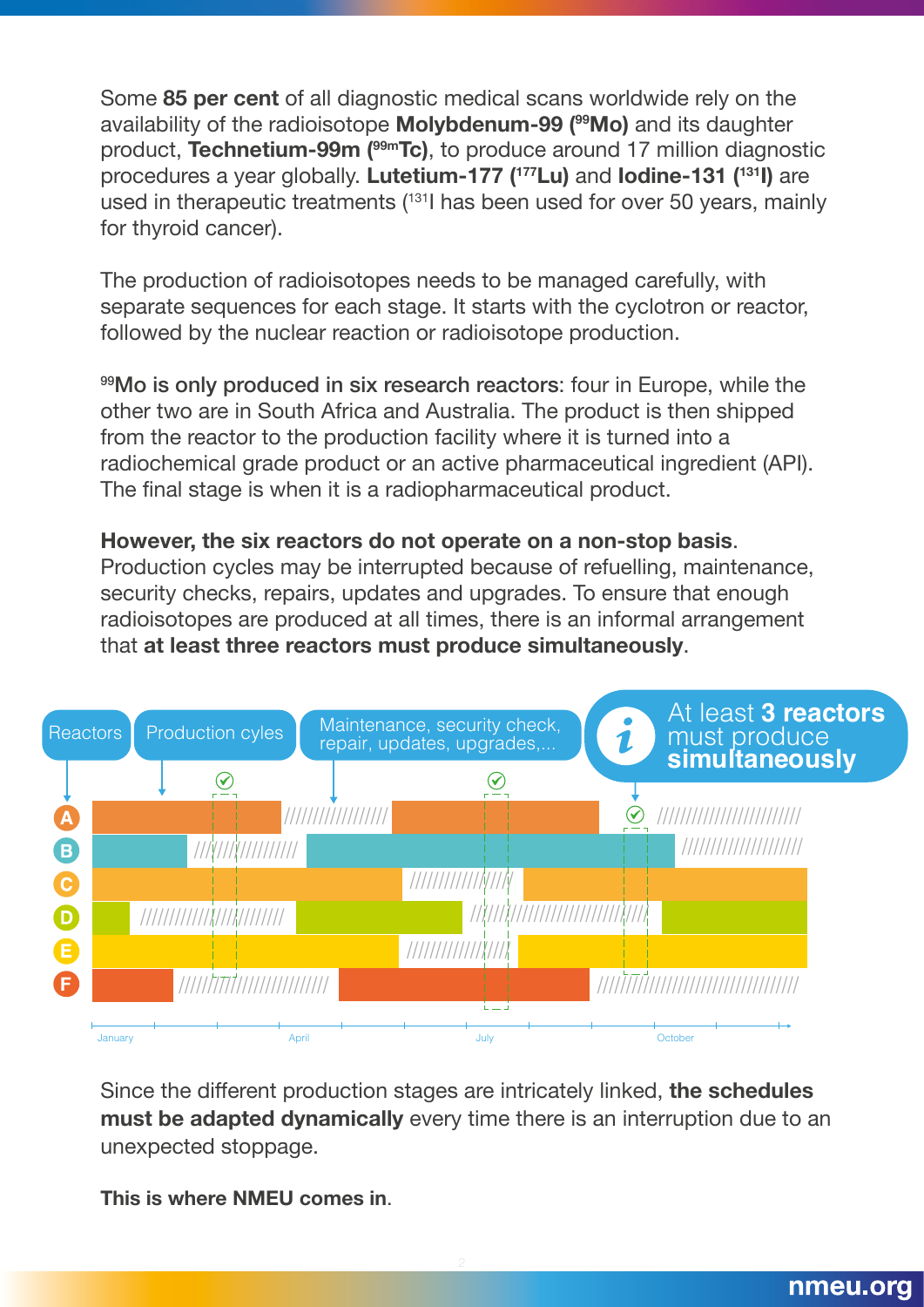Some **85 per cent** of all diagnostic medical scans worldwide rely on the availability of the radioisotope **Molybdenum-99 (99Mo)** and its daughter product, **Technetium-99m (99mTc)**, to produce around 17 million diagnostic procedures a year globally. **Lutetium-177 (177Lu)** and **Iodine-131 (131I)** are used in therapeutic treatments (131I has been used for over 50 years, mainly for thyroid cancer).

The production of radioisotopes needs to be managed carefully, with separate sequences for each stage. It starts with the cyclotron or reactor, followed by the nuclear reaction or radioisotope production.

99Mo is only produced in six research reactors: four in Europe, while the other two are in South Africa and Australia. The product is then shipped from the reactor to the production facility where it is turned into a radiochemical grade product or an active pharmaceutical ingredient (API). The final stage is when it is a radiopharmaceutical product.

## **However, the six reactors do not operate on a non-stop basis**.

Production cycles may be interrupted because of refuelling, maintenance, security checks, repairs, updates and upgrades. To ensure that enough radioisotopes are produced at all times, there is an informal arrangement that **at least three reactors must produce simultaneously**.



Since the different production stages are intricately linked, **the schedules must be adapted dynamically** every time there is an interruption due to an unexpected stoppage.

**This is where NMEU comes in**.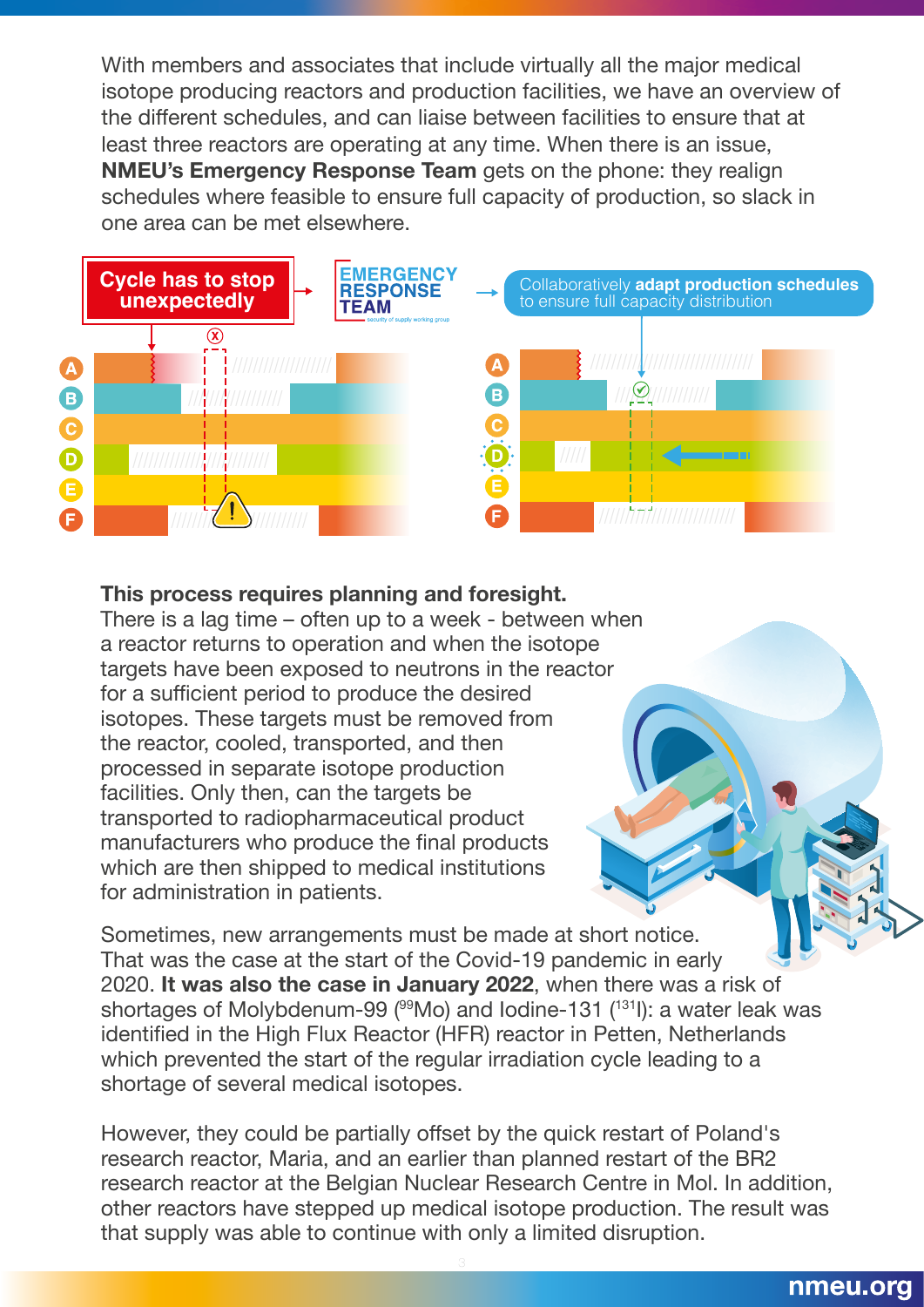With members and associates that include virtually all the major medical isotope producing reactors and production facilities, we have an overview of the different schedules, and can liaise between facilities to ensure that at least three reactors are operating at any time. When there is an issue, **NMEU's Emergency Response Team** gets on the phone: they realign schedules where feasible to ensure full capacity of production, so slack in one area can be met elsewhere.



## **This process requires planning and foresight.**

There is a lag time – often up to a week - between when a reactor returns to operation and when the isotope targets have been exposed to neutrons in the reactor for a sufficient period to produce the desired isotopes. These targets must be removed from the reactor, cooled, transported, and then processed in separate isotope production facilities. Only then, can the targets be transported to radiopharmaceutical product manufacturers who produce the final products which are then shipped to medical institutions for administration in patients.

Sometimes, new arrangements must be made at short notice. That was the case at the start of the Covid-19 pandemic in early 2020. **It was also the case in January 2022**, when there was a risk of shortages of Molybdenum-99 (99Mo) and lodine-131 (131): a water leak was identified in the High Flux Reactor (HFR) reactor in Petten, Netherlands which prevented the start of the regular irradiation cycle leading to a shortage of several medical isotopes.

However, they could be partially offset by the quick restart of Poland's research reactor, Maria, and an earlier than planned restart of the BR2 research reactor at the Belgian Nuclear Research Centre in Mol. In addition, other reactors have stepped up medical isotope production. The result was that supply was able to continue with only a limited disruption.